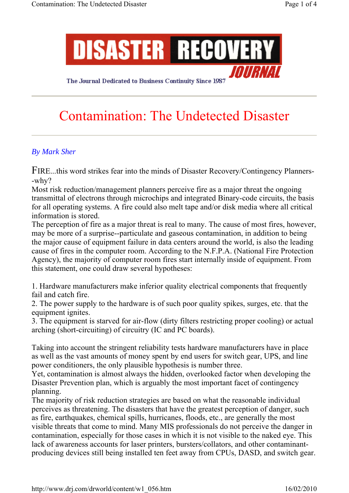

The Journal Dedicated to Business Continuity Since 1987

# Contamination: The Undetected Disaster

# *By Mark Sher*

FIRE...this word strikes fear into the minds of Disaster Recovery/Contingency Planners- -why?

Most risk reduction/management planners perceive fire as a major threat the ongoing transmittal of electrons through microchips and integrated Binary-code circuits, the basis for all operating systems. A fire could also melt tape and/or disk media where all critical information is stored.

The perception of fire as a major threat is real to many. The cause of most fires, however, may be more of a surprise--particulate and gaseous contamination, in addition to being the major cause of equipment failure in data centers around the world, is also the leading cause of fires in the computer room. According to the N.F.P.A. (National Fire Protection Agency), the majority of computer room fires start internally inside of equipment. From this statement, one could draw several hypotheses:

1. Hardware manufacturers make inferior quality electrical components that frequently fail and catch fire.

2. The power supply to the hardware is of such poor quality spikes, surges, etc. that the equipment ignites.

3. The equipment is starved for air-flow (dirty filters restricting proper cooling) or actual arching (short-circuiting) of circuitry (IC and PC boards).

Taking into account the stringent reliability tests hardware manufacturers have in place as well as the vast amounts of money spent by end users for switch gear, UPS, and line power conditioners, the only plausible hypothesis is number three.

Yet, contamination is almost always the hidden, overlooked factor when developing the Disaster Prevention plan, which is arguably the most important facet of contingency planning.

The majority of risk reduction strategies are based on what the reasonable individual perceives as threatening. The disasters that have the greatest perception of danger, such as fire, earthquakes, chemical spills, hurricanes, floods, etc., are generally the most visible threats that come to mind. Many MIS professionals do not perceive the danger in contamination, especially for those cases in which it is not visible to the naked eye. This lack of awareness accounts for laser printers, bursters/collators, and other contaminantproducing devices still being installed ten feet away from CPUs, DASD, and switch gear.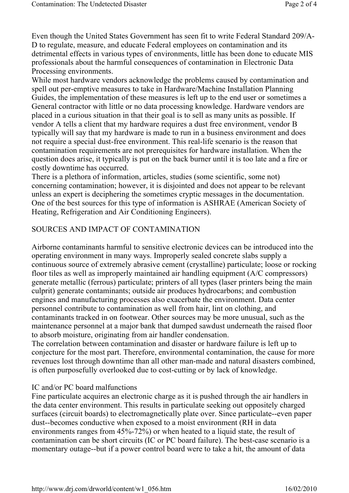Even though the United States Government has seen fit to write Federal Standard 209/A-D to regulate, measure, and educate Federal employees on contamination and its detrimental effects in various types of environments, little has been done to educate MIS professionals about the harmful consequences of contamination in Electronic Data Processing environments.

While most hardware vendors acknowledge the problems caused by contamination and spell out per-emptive measures to take in Hardware/Machine Installation Planning Guides, the implementation of these measures is left up to the end user or sometimes a General contractor with little or no data processing knowledge. Hardware vendors are placed in a curious situation in that their goal is to sell as many units as possible. If vendor A tells a client that my hardware requires a dust free environment, vendor B typically will say that my hardware is made to run in a business environment and does not require a special dust-free environment. This real-life scenario is the reason that contamination requirements are not prerequisites for hardware installation. When the question does arise, it typically is put on the back burner until it is too late and a fire or costly downtime has occurred.

There is a plethora of information, articles, studies (some scientific, some not) concerning contamination; however, it is disjointed and does not appear to be relevant unless an expert is deciphering the sometimes cryptic messages in the documentation. One of the best sources for this type of information is ASHRAE (American Society of Heating, Refrigeration and Air Conditioning Engineers).

#### SOURCES AND IMPACT OF CONTAMINATION

Airborne contaminants harmful to sensitive electronic devices can be introduced into the operating environment in many ways. Improperly sealed concrete slabs supply a continuous source of extremely abrasive cement (crystalline) particulate; loose or rocking floor tiles as well as improperly maintained air handling equipment (A/C compressors) generate metallic (ferrous) particulate; printers of all types (laser printers being the main culprit) generate contaminants; outside air produces hydrocarbons; and combustion engines and manufacturing processes also exacerbate the environment. Data center personnel contribute to contamination as well from hair, lint on clothing, and contaminants tracked in on footwear. Other sources may be more unusual, such as the maintenance personnel at a major bank that dumped sawdust underneath the raised floor to absorb moisture, originating from air handler condensation.

The correlation between contamination and disaster or hardware failure is left up to conjecture for the most part. Therefore, environmental contamination, the cause for more revenues lost through downtime than all other man-made and natural disasters combined, is often purposefully overlooked due to cost-cutting or by lack of knowledge.

#### IC and/or PC board malfunctions

Fine particulate acquires an electronic charge as it is pushed through the air handlers in the data center environment. This results in particulate seeking out oppositely charged surfaces (circuit boards) to electromagnetically plate over. Since particulate--even paper dust--becomes conductive when exposed to a moist environment (RH in data environments ranges from 45%-72%) or when heated to a liquid state, the result of contamination can be short circuits (IC or PC board failure). The best-case scenario is a momentary outage--but if a power control board were to take a hit, the amount of data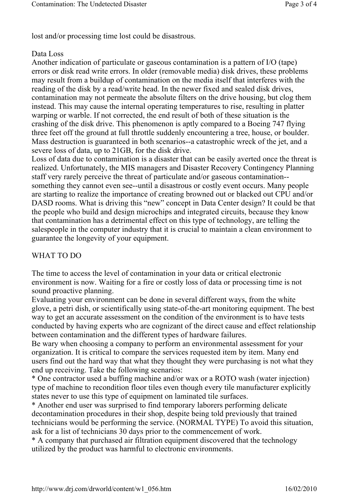lost and/or processing time lost could be disastrous.

## Data Loss

Another indication of particulate or gaseous contamination is a pattern of I/O (tape) errors or disk read write errors. In older (removable media) disk drives, these problems may result from a buildup of contamination on the media itself that interferes with the reading of the disk by a read/write head. In the newer fixed and sealed disk drives, contamination may not permeate the absolute filters on the drive housing, but clog them instead. This may cause the internal operating temperatures to rise, resulting in platter warping or warble. If not corrected, the end result of both of these situation is the crashing of the disk drive. This phenomenon is aptly compared to a Boeing 747 flying three feet off the ground at full throttle suddenly encountering a tree, house, or boulder. Mass destruction is guaranteed in both scenarios--a catastrophic wreck of the jet, and a severe loss of data, up to 21GB, for the disk drive.

Loss of data due to contamination is a disaster that can be easily averted once the threat is realized. Unfortunately, the MIS managers and Disaster Recovery Contingency Planning staff very rarely perceive the threat of particulate and/or gaseous contamination- something they cannot even see--until a disastrous or costly event occurs. Many people are starting to realize the importance of creating browned out or blacked out CPU and/or DASD rooms. What is driving this "new" concept in Data Center design? It could be that the people who build and design microchips and integrated circuits, because they know that contamination has a detrimental effect on this type of technology, are telling the salespeople in the computer industry that it is crucial to maintain a clean environment to guarantee the longevity of your equipment.

## WHAT TO DO

The time to access the level of contamination in your data or critical electronic environment is now. Waiting for a fire or costly loss of data or processing time is not sound proactive planning.

Evaluating your environment can be done in several different ways, from the white glove, a petri dish, or scientifically using state-of-the-art monitoring equipment. The best way to get an accurate assessment on the condition of the environment is to have tests conducted by having experts who are cognizant of the direct cause and effect relationship between contamination and the different types of hardware failures.

Be wary when choosing a company to perform an environmental assessment for your organization. It is critical to compare the services requested item by item. Many end users find out the hard way that what they thought they were purchasing is not what they end up receiving. Take the following scenarios:

\* One contractor used a buffing machine and/or wax or a ROTO wash (water injection) type of machine to recondition floor tiles even though every tile manufacturer explicitly states never to use this type of equipment on laminated tile surfaces.

\* Another end user was surprised to find temporary laborers performing delicate decontamination procedures in their shop, despite being told previously that trained technicians would be performing the service. (NORMAL TYPE) To avoid this situation, ask for a list of technicians 30 days prior to the commencement of work.

\* A company that purchased air filtration equipment discovered that the technology utilized by the product was harmful to electronic environments.